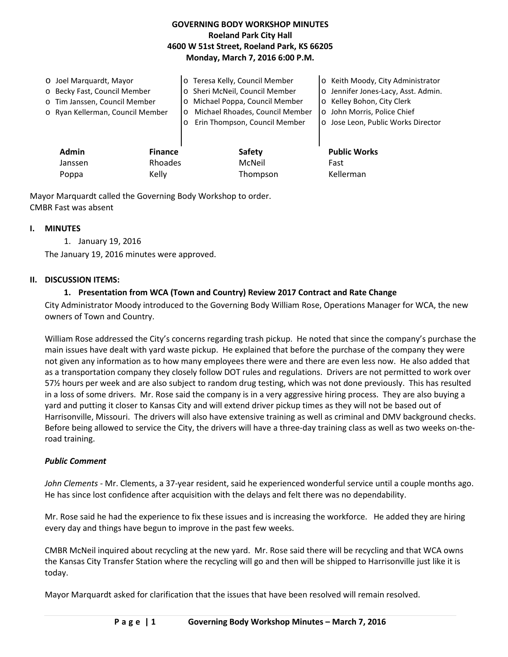#### **GOVERNING BODY WORKSHOP MINUTES Roeland Park City Hall 4600 W 51st Street, Roeland Park, KS 66205 Monday, March 7, 2016 6:00 P.M.**

| O Joel Marquardt, Mayor<br>o Becky Fast, Council Member<br>o Tim Janssen, Council Member<br>o Ryan Kellerman, Council Member |                | o Teresa Kelly, Council Member<br>o Sheri McNeil, Council Member<br>Michael Poppa, Council Member<br>$\circ$<br>Michael Rhoades, Council Member<br>$\circ$<br>Erin Thompson, Council Member<br>O | o Keith Moody, City Administrator<br>o Jennifer Jones-Lacy, Asst. Admin.<br>o Kelley Bohon, City Clerk<br>o John Morris, Police Chief<br>o Jose Leon, Public Works Director |
|------------------------------------------------------------------------------------------------------------------------------|----------------|--------------------------------------------------------------------------------------------------------------------------------------------------------------------------------------------------|-----------------------------------------------------------------------------------------------------------------------------------------------------------------------------|
| <b>Admin</b>                                                                                                                 | <b>Finance</b> | Safety                                                                                                                                                                                           | <b>Public Works</b>                                                                                                                                                         |
| Janssen                                                                                                                      | Rhoades        | McNeil                                                                                                                                                                                           | Fast                                                                                                                                                                        |
| Poppa                                                                                                                        | Kelly          | Thompson                                                                                                                                                                                         | Kellerman                                                                                                                                                                   |

Mayor Marquardt called the Governing Body Workshop to order. CMBR Fast was absent

#### **I. MINUTES**

1. January 19, 2016 The January 19, 2016 minutes were approved.

#### **II. DISCUSSION ITEMS:**

#### **1. Presentation from WCA (Town and Country) Review 2017 Contract and Rate Change**

City Administrator Moody introduced to the Governing Body William Rose, Operations Manager for WCA, the new owners of Town and Country.

William Rose addressed the City's concerns regarding trash pickup. He noted that since the company's purchase the main issues have dealt with yard waste pickup. He explained that before the purchase of the company they were not given any information as to how many employees there were and there are even less now. He also added that as a transportation company they closely follow DOT rules and regulations. Drivers are not permitted to work over 57½ hours per week and are also subject to random drug testing, which was not done previously. This has resulted in a loss of some drivers. Mr. Rose said the company is in a very aggressive hiring process. They are also buying a yard and putting it closer to Kansas City and will extend driver pickup times as they will not be based out of Harrisonville, Missouri. The drivers will also have extensive training as well as criminal and DMV background checks. Before being allowed to service the City, the drivers will have a three-day training class as well as two weeks on-theroad training.

#### *Public Comment*

*John Clements* - Mr. Clements, a 37-year resident, said he experienced wonderful service until a couple months ago. He has since lost confidence after acquisition with the delays and felt there was no dependability.

Mr. Rose said he had the experience to fix these issues and is increasing the workforce. He added they are hiring every day and things have begun to improve in the past few weeks.

CMBR McNeil inquired about recycling at the new yard. Mr. Rose said there will be recycling and that WCA owns the Kansas City Transfer Station where the recycling will go and then will be shipped to Harrisonville just like it is today.

Mayor Marquardt asked for clarification that the issues that have been resolved will remain resolved.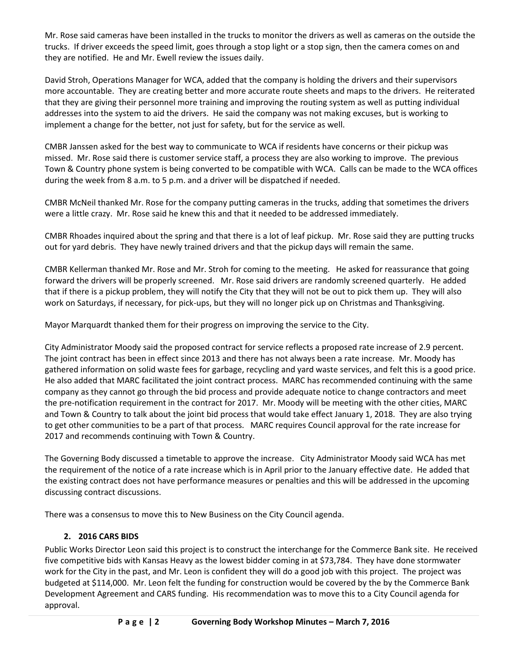Mr. Rose said cameras have been installed in the trucks to monitor the drivers as well as cameras on the outside the trucks. If driver exceeds the speed limit, goes through a stop light or a stop sign, then the camera comes on and they are notified. He and Mr. Ewell review the issues daily.

David Stroh, Operations Manager for WCA, added that the company is holding the drivers and their supervisors more accountable. They are creating better and more accurate route sheets and maps to the drivers. He reiterated that they are giving their personnel more training and improving the routing system as well as putting individual addresses into the system to aid the drivers. He said the company was not making excuses, but is working to implement a change for the better, not just for safety, but for the service as well.

CMBR Janssen asked for the best way to communicate to WCA if residents have concerns or their pickup was missed. Mr. Rose said there is customer service staff, a process they are also working to improve. The previous Town & Country phone system is being converted to be compatible with WCA. Calls can be made to the WCA offices during the week from 8 a.m. to 5 p.m. and a driver will be dispatched if needed.

CMBR McNeil thanked Mr. Rose for the company putting cameras in the trucks, adding that sometimes the drivers were a little crazy. Mr. Rose said he knew this and that it needed to be addressed immediately.

CMBR Rhoades inquired about the spring and that there is a lot of leaf pickup. Mr. Rose said they are putting trucks out for yard debris. They have newly trained drivers and that the pickup days will remain the same.

CMBR Kellerman thanked Mr. Rose and Mr. Stroh for coming to the meeting. He asked for reassurance that going forward the drivers will be properly screened. Mr. Rose said drivers are randomly screened quarterly. He added that if there is a pickup problem, they will notify the City that they will not be out to pick them up. They will also work on Saturdays, if necessary, for pick-ups, but they will no longer pick up on Christmas and Thanksgiving.

Mayor Marquardt thanked them for their progress on improving the service to the City.

City Administrator Moody said the proposed contract for service reflects a proposed rate increase of 2.9 percent. The joint contract has been in effect since 2013 and there has not always been a rate increase. Mr. Moody has gathered information on solid waste fees for garbage, recycling and yard waste services, and felt this is a good price. He also added that MARC facilitated the joint contract process. MARC has recommended continuing with the same company as they cannot go through the bid process and provide adequate notice to change contractors and meet the pre-notification requirement in the contract for 2017. Mr. Moody will be meeting with the other cities, MARC and Town & Country to talk about the joint bid process that would take effect January 1, 2018. They are also trying to get other communities to be a part of that process. MARC requires Council approval for the rate increase for 2017 and recommends continuing with Town & Country.

The Governing Body discussed a timetable to approve the increase. City Administrator Moody said WCA has met the requirement of the notice of a rate increase which is in April prior to the January effective date. He added that the existing contract does not have performance measures or penalties and this will be addressed in the upcoming discussing contract discussions.

There was a consensus to move this to New Business on the City Council agenda.

### **2. 2016 CARS BIDS**

Public Works Director Leon said this project is to construct the interchange for the Commerce Bank site. He received five competitive bids with Kansas Heavy as the lowest bidder coming in at \$73,784. They have done stormwater work for the City in the past, and Mr. Leon is confident they will do a good job with this project. The project was budgeted at \$114,000. Mr. Leon felt the funding for construction would be covered by the by the Commerce Bank Development Agreement and CARS funding. His recommendation was to move this to a City Council agenda for approval.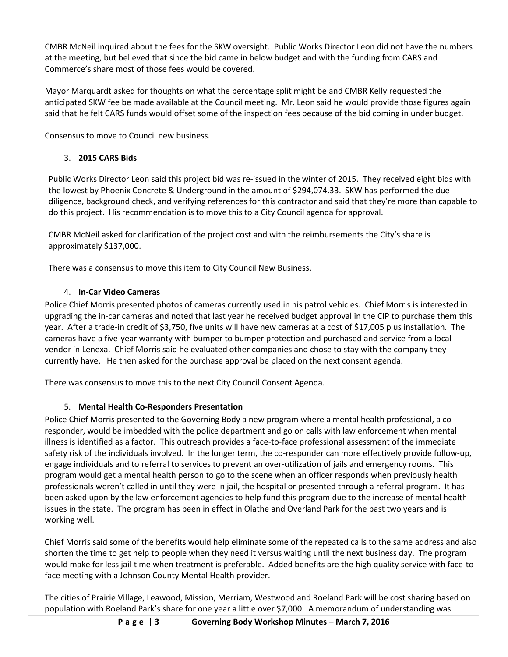CMBR McNeil inquired about the fees for the SKW oversight. Public Works Director Leon did not have the numbers at the meeting, but believed that since the bid came in below budget and with the funding from CARS and Commerce's share most of those fees would be covered.

Mayor Marquardt asked for thoughts on what the percentage split might be and CMBR Kelly requested the anticipated SKW fee be made available at the Council meeting. Mr. Leon said he would provide those figures again said that he felt CARS funds would offset some of the inspection fees because of the bid coming in under budget.

Consensus to move to Council new business.

# 3. **2015 CARS Bids**

Public Works Director Leon said this project bid was re-issued in the winter of 2015. They received eight bids with the lowest by Phoenix Concrete & Underground in the amount of \$294,074.33. SKW has performed the due diligence, background check, and verifying references for this contractor and said that they're more than capable to do this project. His recommendation is to move this to a City Council agenda for approval.

CMBR McNeil asked for clarification of the project cost and with the reimbursements the City's share is approximately \$137,000.

There was a consensus to move this item to City Council New Business.

### 4. **In-Car Video Cameras**

Police Chief Morris presented photos of cameras currently used in his patrol vehicles. Chief Morris is interested in upgrading the in-car cameras and noted that last year he received budget approval in the CIP to purchase them this year. After a trade-in credit of \$3,750, five units will have new cameras at a cost of \$17,005 plus installation. The cameras have a five-year warranty with bumper to bumper protection and purchased and service from a local vendor in Lenexa. Chief Morris said he evaluated other companies and chose to stay with the company they currently have. He then asked for the purchase approval be placed on the next consent agenda.

There was consensus to move this to the next City Council Consent Agenda.

### 5. **Mental Health Co-Responders Presentation**

Police Chief Morris presented to the Governing Body a new program where a mental health professional, a coresponder, would be imbedded with the police department and go on calls with law enforcement when mental illness is identified as a factor. This outreach provides a face-to-face professional assessment of the immediate safety risk of the individuals involved. In the longer term, the co-responder can more effectively provide follow-up, engage individuals and to referral to services to prevent an over-utilization of jails and emergency rooms. This program would get a mental health person to go to the scene when an officer responds when previously health professionals weren't called in until they were in jail, the hospital or presented through a referral program. It has been asked upon by the law enforcement agencies to help fund this program due to the increase of mental health issues in the state. The program has been in effect in Olathe and Overland Park for the past two years and is working well.

Chief Morris said some of the benefits would help eliminate some of the repeated calls to the same address and also shorten the time to get help to people when they need it versus waiting until the next business day. The program would make for less jail time when treatment is preferable. Added benefits are the high quality service with face-toface meeting with a Johnson County Mental Health provider.

The cities of Prairie Village, Leawood, Mission, Merriam, Westwood and Roeland Park will be cost sharing based on population with Roeland Park's share for one year a little over \$7,000. A memorandum of understanding was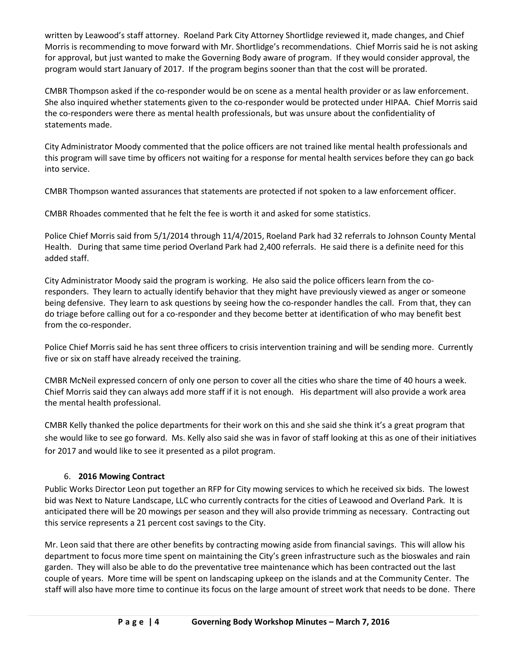written by Leawood's staff attorney. Roeland Park City Attorney Shortlidge reviewed it, made changes, and Chief Morris is recommending to move forward with Mr. Shortlidge's recommendations. Chief Morris said he is not asking for approval, but just wanted to make the Governing Body aware of program. If they would consider approval, the program would start January of 2017. If the program begins sooner than that the cost will be prorated.

CMBR Thompson asked if the co-responder would be on scene as a mental health provider or as law enforcement. She also inquired whether statements given to the co-responder would be protected under HIPAA. Chief Morris said the co-responders were there as mental health professionals, but was unsure about the confidentiality of statements made.

City Administrator Moody commented that the police officers are not trained like mental health professionals and this program will save time by officers not waiting for a response for mental health services before they can go back into service.

CMBR Thompson wanted assurances that statements are protected if not spoken to a law enforcement officer.

CMBR Rhoades commented that he felt the fee is worth it and asked for some statistics.

Police Chief Morris said from 5/1/2014 through 11/4/2015, Roeland Park had 32 referrals to Johnson County Mental Health. During that same time period Overland Park had 2,400 referrals. He said there is a definite need for this added staff.

City Administrator Moody said the program is working. He also said the police officers learn from the coresponders. They learn to actually identify behavior that they might have previously viewed as anger or someone being defensive. They learn to ask questions by seeing how the co-responder handles the call. From that, they can do triage before calling out for a co-responder and they become better at identification of who may benefit best from the co-responder.

Police Chief Morris said he has sent three officers to crisis intervention training and will be sending more. Currently five or six on staff have already received the training.

CMBR McNeil expressed concern of only one person to cover all the cities who share the time of 40 hours a week. Chief Morris said they can always add more staff if it is not enough. His department will also provide a work area the mental health professional.

CMBR Kelly thanked the police departments for their work on this and she said she think it's a great program that she would like to see go forward. Ms. Kelly also said she was in favor of staff looking at this as one of their initiatives for 2017 and would like to see it presented as a pilot program.

### 6. **2016 Mowing Contract**

Public Works Director Leon put together an RFP for City mowing services to which he received six bids. The lowest bid was Next to Nature Landscape, LLC who currently contracts for the cities of Leawood and Overland Park. It is anticipated there will be 20 mowings per season and they will also provide trimming as necessary. Contracting out this service represents a 21 percent cost savings to the City.

Mr. Leon said that there are other benefits by contracting mowing aside from financial savings. This will allow his department to focus more time spent on maintaining the City's green infrastructure such as the bioswales and rain garden. They will also be able to do the preventative tree maintenance which has been contracted out the last couple of years. More time will be spent on landscaping upkeep on the islands and at the Community Center. The staff will also have more time to continue its focus on the large amount of street work that needs to be done. There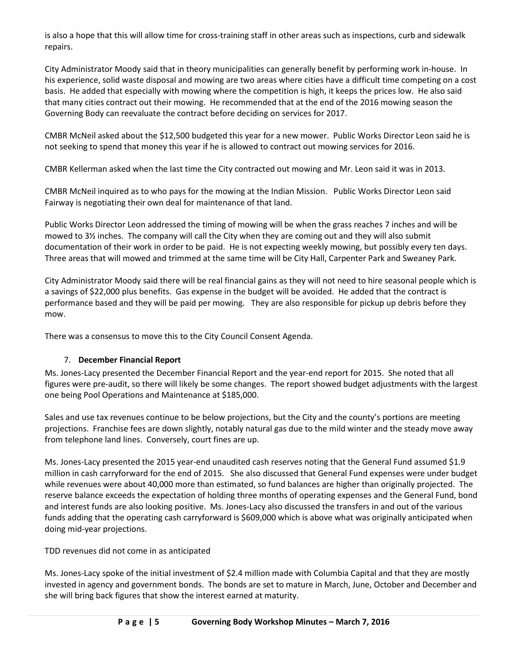is also a hope that this will allow time for cross-training staff in other areas such as inspections, curb and sidewalk repairs.

City Administrator Moody said that in theory municipalities can generally benefit by performing work in-house. In his experience, solid waste disposal and mowing are two areas where cities have a difficult time competing on a cost basis. He added that especially with mowing where the competition is high, it keeps the prices low. He also said that many cities contract out their mowing. He recommended that at the end of the 2016 mowing season the Governing Body can reevaluate the contract before deciding on services for 2017.

CMBR McNeil asked about the \$12,500 budgeted this year for a new mower. Public Works Director Leon said he is not seeking to spend that money this year if he is allowed to contract out mowing services for 2016.

CMBR Kellerman asked when the last time the City contracted out mowing and Mr. Leon said it was in 2013.

CMBR McNeil inquired as to who pays for the mowing at the Indian Mission. Public Works Director Leon said Fairway is negotiating their own deal for maintenance of that land.

Public Works Director Leon addressed the timing of mowing will be when the grass reaches 7 inches and will be mowed to 3½ inches. The company will call the City when they are coming out and they will also submit documentation of their work in order to be paid. He is not expecting weekly mowing, but possibly every ten days. Three areas that will mowed and trimmed at the same time will be City Hall, Carpenter Park and Sweaney Park.

City Administrator Moody said there will be real financial gains as they will not need to hire seasonal people which is a savings of \$22,000 plus benefits. Gas expense in the budget will be avoided. He added that the contract is performance based and they will be paid per mowing. They are also responsible for pickup up debris before they mow.

There was a consensus to move this to the City Council Consent Agenda.

### 7. **December Financial Report**

Ms. Jones-Lacy presented the December Financial Report and the year-end report for 2015. She noted that all figures were pre-audit, so there will likely be some changes. The report showed budget adjustments with the largest one being Pool Operations and Maintenance at \$185,000.

Sales and use tax revenues continue to be below projections, but the City and the county's portions are meeting projections. Franchise fees are down slightly, notably natural gas due to the mild winter and the steady move away from telephone land lines. Conversely, court fines are up.

Ms. Jones-Lacy presented the 2015 year-end unaudited cash reserves noting that the General Fund assumed \$1.9 million in cash carryforward for the end of 2015. She also discussed that General Fund expenses were under budget while revenues were about 40,000 more than estimated, so fund balances are higher than originally projected. The reserve balance exceeds the expectation of holding three months of operating expenses and the General Fund, bond and interest funds are also looking positive. Ms. Jones-Lacy also discussed the transfers in and out of the various funds adding that the operating cash carryforward is \$609,000 which is above what was originally anticipated when doing mid-year projections.

TDD revenues did not come in as anticipated

Ms. Jones-Lacy spoke of the initial investment of \$2.4 million made with Columbia Capital and that they are mostly invested in agency and government bonds. The bonds are set to mature in March, June, October and December and she will bring back figures that show the interest earned at maturity.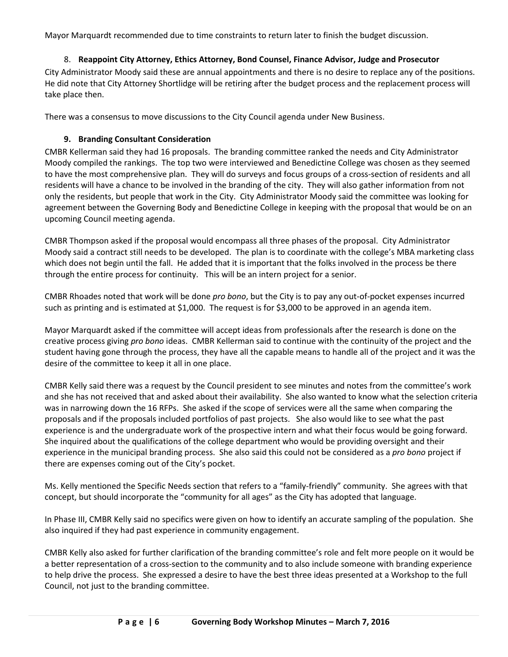Mayor Marquardt recommended due to time constraints to return later to finish the budget discussion.

# 8. **Reappoint City Attorney, Ethics Attorney, Bond Counsel, Finance Advisor, Judge and Prosecutor**

City Administrator Moody said these are annual appointments and there is no desire to replace any of the positions. He did note that City Attorney Shortlidge will be retiring after the budget process and the replacement process will take place then.

There was a consensus to move discussions to the City Council agenda under New Business.

# **9. Branding Consultant Consideration**

CMBR Kellerman said they had 16 proposals. The branding committee ranked the needs and City Administrator Moody compiled the rankings. The top two were interviewed and Benedictine College was chosen as they seemed to have the most comprehensive plan. They will do surveys and focus groups of a cross-section of residents and all residents will have a chance to be involved in the branding of the city. They will also gather information from not only the residents, but people that work in the City. City Administrator Moody said the committee was looking for agreement between the Governing Body and Benedictine College in keeping with the proposal that would be on an upcoming Council meeting agenda.

CMBR Thompson asked if the proposal would encompass all three phases of the proposal. City Administrator Moody said a contract still needs to be developed. The plan is to coordinate with the college's MBA marketing class which does not begin until the fall. He added that it is important that the folks involved in the process be there through the entire process for continuity. This will be an intern project for a senior.

CMBR Rhoades noted that work will be done *pro bono*, but the City is to pay any out-of-pocket expenses incurred such as printing and is estimated at \$1,000. The request is for \$3,000 to be approved in an agenda item.

Mayor Marquardt asked if the committee will accept ideas from professionals after the research is done on the creative process giving *pro bono* ideas. CMBR Kellerman said to continue with the continuity of the project and the student having gone through the process, they have all the capable means to handle all of the project and it was the desire of the committee to keep it all in one place.

CMBR Kelly said there was a request by the Council president to see minutes and notes from the committee's work and she has not received that and asked about their availability. She also wanted to know what the selection criteria was in narrowing down the 16 RFPs. She asked if the scope of services were all the same when comparing the proposals and if the proposals included portfolios of past projects. She also would like to see what the past experience is and the undergraduate work of the prospective intern and what their focus would be going forward. She inquired about the qualifications of the college department who would be providing oversight and their experience in the municipal branding process. She also said this could not be considered as a *pro bono* project if there are expenses coming out of the City's pocket.

Ms. Kelly mentioned the Specific Needs section that refers to a "family-friendly" community. She agrees with that concept, but should incorporate the "community for all ages" as the City has adopted that language.

In Phase III, CMBR Kelly said no specifics were given on how to identify an accurate sampling of the population. She also inquired if they had past experience in community engagement.

CMBR Kelly also asked for further clarification of the branding committee's role and felt more people on it would be a better representation of a cross-section to the community and to also include someone with branding experience to help drive the process. She expressed a desire to have the best three ideas presented at a Workshop to the full Council, not just to the branding committee.